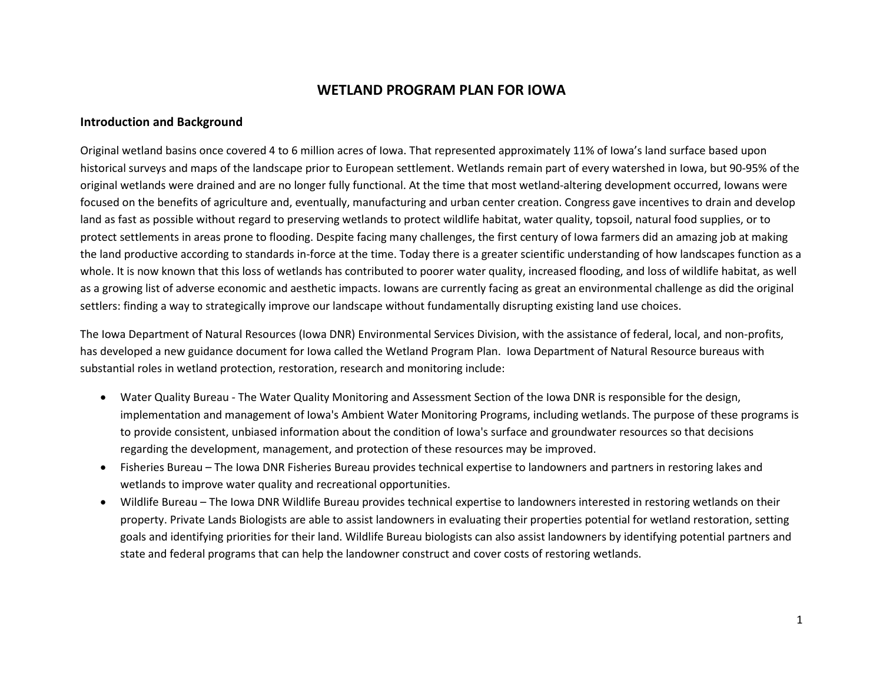# **WETLAND PROGRAM PLAN FOR IOWA**

#### **Introduction and Background**

Original wetland basins once covered 4 to 6 million acres of Iowa. That represented approximately 11% of Iowa's land surface based upon historical surveys and maps of the landscape prior to European settlement. Wetlands remain part of every watershed in Iowa, but 90-95% of the original wetlands were drained and are no longer fully functional. At the time that most wetland-altering development occurred, Iowans were focused on the benefits of agriculture and, eventually, manufacturing and urban center creation. Congress gave incentives to drain and develop land as fast as possible without regard to preserving wetlands to protect wildlife habitat, water quality, topsoil, natural food supplies, or to protect settlements in areas prone to flooding. Despite facing many challenges, the first century of Iowa farmers did an amazing job at making the land productive according to standards in-force at the time. Today there is a greater scientific understanding of how landscapes function as a whole. It is now known that this loss of wetlands has contributed to poorer water quality, increased flooding, and loss of wildlife habitat, as well as a growing list of adverse economic and aesthetic impacts. Iowans are currently facing as great an environmental challenge as did the original settlers: finding a way to strategically improve our landscape without fundamentally disrupting existing land use choices.

The Iowa Department of Natural Resources (Iowa DNR) Environmental Services Division, with the assistance of federal, local, and non-profits, has developed a new guidance document for Iowa called the Wetland Program Plan. Iowa Department of Natural Resource bureaus with substantial roles in wetland protection, restoration, research and monitoring include:

- Water Quality Bureau The Water Quality Monitoring and Assessment Section of the Iowa DNR is responsible for the design, implementation and management of Iowa's Ambient Water Monitoring Programs, including wetlands. The purpose of these programs is to provide consistent, unbiased information about the condition of Iowa's surface and groundwater resources so that decisions regarding the development, management, and protection of these resources may be improved.
- Fisheries Bureau The Iowa DNR Fisheries Bureau provides technical expertise to landowners and partners in restoring lakes and wetlands to improve water quality and recreational opportunities.
- Wildlife Bureau The Iowa DNR Wildlife Bureau provides technical expertise to landowners interested in restoring wetlands on their property. Private Lands Biologists are able to assist landowners in evaluating their properties potential for wetland restoration, setting goals and identifying priorities for their land. Wildlife Bureau biologists can also assist landowners by identifying potential partners and state and federal programs that can help the landowner construct and cover costs of restoring wetlands.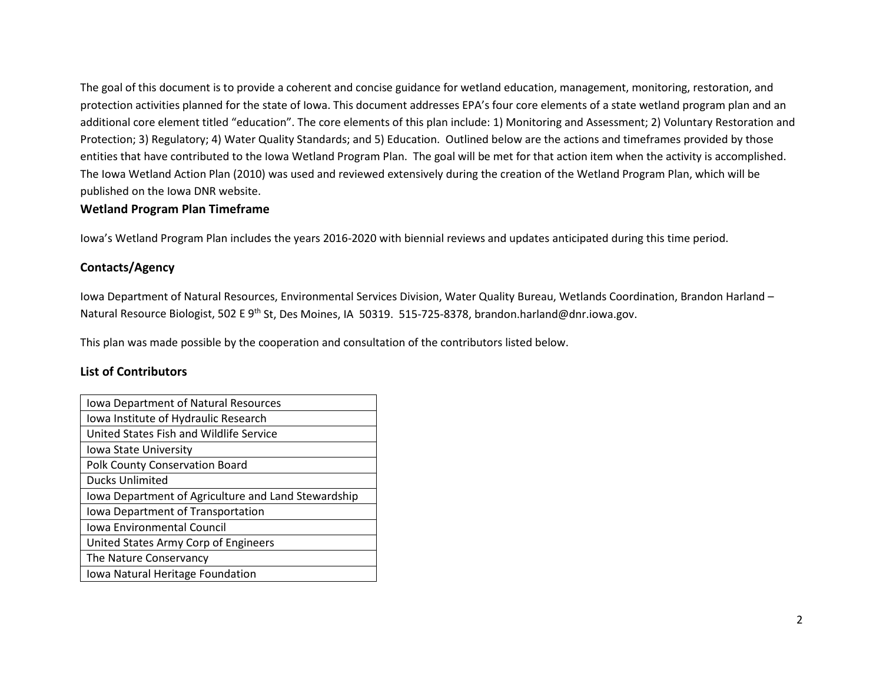The goal of this document is to provide a coherent and concise guidance for wetland education, management, monitoring, restoration, and protection activities planned for the state of Iowa. This document addresses EPA's four core elements of a state wetland program plan and an additional core element titled "education". The core elements of this plan include: 1) Monitoring and Assessment; 2) Voluntary Restoration and Protection; 3) Regulatory; 4) Water Quality Standards; and 5) Education. Outlined below are the actions and timeframes provided by those entities that have contributed to the Iowa Wetland Program Plan. The goal will be met for that action item when the activity is accomplished. The Iowa Wetland Action Plan (2010) was used and reviewed extensively during the creation of the Wetland Program Plan, which will be published on the Iowa DNR website.

### **Wetland Program Plan Timeframe**

Iowa's Wetland Program Plan includes the years 2016-2020 with biennial reviews and updates anticipated during this time period.

## **Contacts/Agency**

Iowa Department of Natural Resources, Environmental Services Division, Water Quality Bureau, Wetlands Coordination, Brandon Harland – Natural Resource Biologist, 502 E 9<sup>th</sup> St, Des Moines, IA 50319. 515-725-8378, brandon.harland@dnr.iowa.gov.

This plan was made possible by the cooperation and consultation of the contributors listed below.

### **List of Contributors**

| Iowa Department of Natural Resources                |
|-----------------------------------------------------|
| Iowa Institute of Hydraulic Research                |
| United States Fish and Wildlife Service             |
| Iowa State University                               |
| Polk County Conservation Board                      |
| <b>Ducks Unlimited</b>                              |
| Iowa Department of Agriculture and Land Stewardship |
| Iowa Department of Transportation                   |
| Iowa Environmental Council                          |
| United States Army Corp of Engineers                |
| The Nature Conservancy                              |
| Iowa Natural Heritage Foundation                    |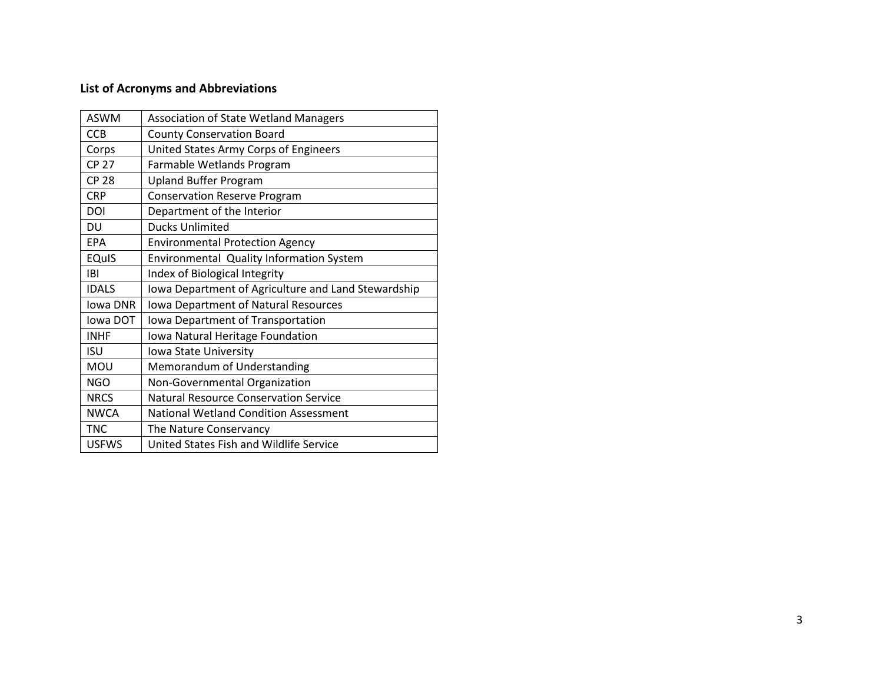# **List of Acronyms and Abbreviations**

| <b>ASWM</b>  | <b>Association of State Wetland Managers</b>        |
|--------------|-----------------------------------------------------|
| <b>CCB</b>   | <b>County Conservation Board</b>                    |
| Corps        | United States Army Corps of Engineers               |
| <b>CP 27</b> | Farmable Wetlands Program                           |
| <b>CP 28</b> | <b>Upland Buffer Program</b>                        |
| <b>CRP</b>   | <b>Conservation Reserve Program</b>                 |
| DOI          | Department of the Interior                          |
| DU           | <b>Ducks Unlimited</b>                              |
| EPA          | <b>Environmental Protection Agency</b>              |
| <b>EQuIS</b> | Environmental Quality Information System            |
| <b>IBI</b>   | Index of Biological Integrity                       |
| <b>IDALS</b> | Iowa Department of Agriculture and Land Stewardship |
| Iowa DNR     | Iowa Department of Natural Resources                |
| lowa DOT     | Iowa Department of Transportation                   |
| <b>INHF</b>  | Iowa Natural Heritage Foundation                    |
| <b>ISU</b>   | Iowa State University                               |
| MOU          | Memorandum of Understanding                         |
| <b>NGO</b>   | Non-Governmental Organization                       |
| <b>NRCS</b>  | <b>Natural Resource Conservation Service</b>        |
| <b>NWCA</b>  | <b>National Wetland Condition Assessment</b>        |
| <b>TNC</b>   | The Nature Conservancy                              |
| <b>USFWS</b> | United States Fish and Wildlife Service             |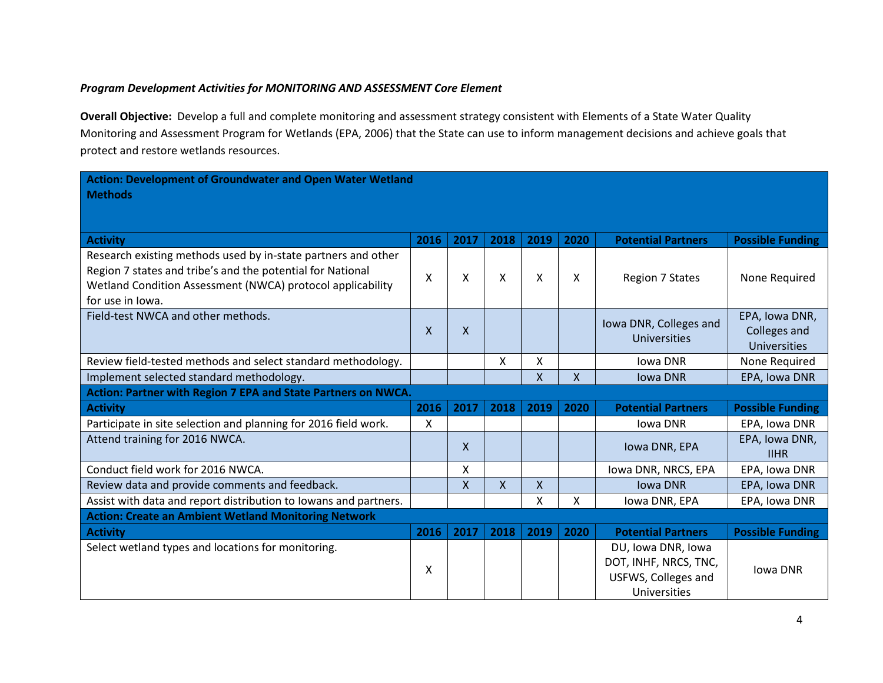## *Program Development Activities for MONITORING AND ASSESSMENT Core Element*

**Overall Objective:** Develop a full and complete monitoring and assessment strategy consistent with Elements of a State Water Quality Monitoring and Assessment Program for Wetlands (EPA, 2006) that the State can use to inform management decisions and achieve goals that protect and restore wetlands resources.

| Action: Development of Groundwater and Open Water Wetland<br><b>Methods</b>                                                                                                                                   |              |              |      |      |              |                                                                                    |                                                              |  |  |  |
|---------------------------------------------------------------------------------------------------------------------------------------------------------------------------------------------------------------|--------------|--------------|------|------|--------------|------------------------------------------------------------------------------------|--------------------------------------------------------------|--|--|--|
|                                                                                                                                                                                                               |              |              |      |      |              |                                                                                    |                                                              |  |  |  |
| <b>Activity</b>                                                                                                                                                                                               | 2016         | 2017         | 2018 | 2019 | 2020         | <b>Potential Partners</b>                                                          | <b>Possible Funding</b>                                      |  |  |  |
| Research existing methods used by in-state partners and other<br>Region 7 states and tribe's and the potential for National<br>Wetland Condition Assessment (NWCA) protocol applicability<br>for use in lowa. | X            | X            | x    | X    | X            | <b>Region 7 States</b>                                                             | None Required                                                |  |  |  |
| Field-test NWCA and other methods.                                                                                                                                                                            | $\mathsf{x}$ | $\mathsf{X}$ |      |      |              | Iowa DNR, Colleges and<br><b>Universities</b>                                      | EPA, Iowa DNR,<br><b>Colleges and</b><br><b>Universities</b> |  |  |  |
| Review field-tested methods and select standard methodology.                                                                                                                                                  |              |              | X    | Χ    |              | <b>Iowa DNR</b>                                                                    | None Required                                                |  |  |  |
| Implement selected standard methodology.                                                                                                                                                                      |              |              |      | X    | $\mathsf{X}$ | <b>Iowa DNR</b>                                                                    | EPA, Iowa DNR                                                |  |  |  |
| Action: Partner with Region 7 EPA and State Partners on NWCA.                                                                                                                                                 |              |              |      |      |              |                                                                                    |                                                              |  |  |  |
| <b>Activity</b>                                                                                                                                                                                               | 2016         | 2017         | 2018 | 2019 | 2020         | <b>Potential Partners</b>                                                          | <b>Possible Funding</b>                                      |  |  |  |
| Participate in site selection and planning for 2016 field work.                                                                                                                                               | X            |              |      |      |              | <b>Iowa DNR</b>                                                                    | EPA, Iowa DNR                                                |  |  |  |
| Attend training for 2016 NWCA.                                                                                                                                                                                |              | $\mathsf{X}$ |      |      |              | Iowa DNR, EPA                                                                      | EPA, Iowa DNR,<br><b>IIHR</b>                                |  |  |  |
| Conduct field work for 2016 NWCA.                                                                                                                                                                             |              | X            |      |      |              | lowa DNR, NRCS, EPA                                                                | EPA, Iowa DNR                                                |  |  |  |
| Review data and provide comments and feedback.                                                                                                                                                                |              | X            | X    | X    |              | <b>Iowa DNR</b>                                                                    | EPA, Iowa DNR                                                |  |  |  |
| Assist with data and report distribution to lowans and partners.                                                                                                                                              |              |              |      | X    | X            | Iowa DNR, EPA                                                                      | EPA, Iowa DNR                                                |  |  |  |
| <b>Action: Create an Ambient Wetland Monitoring Network</b>                                                                                                                                                   |              |              |      |      |              |                                                                                    |                                                              |  |  |  |
| <b>Activity</b>                                                                                                                                                                                               | 2016         | 2017         | 2018 | 2019 | 2020         | <b>Potential Partners</b>                                                          | <b>Possible Funding</b>                                      |  |  |  |
| Select wetland types and locations for monitoring.                                                                                                                                                            | X            |              |      |      |              | DU, Iowa DNR, Iowa<br>DOT, INHF, NRCS, TNC,<br>USFWS, Colleges and<br>Universities | Iowa DNR                                                     |  |  |  |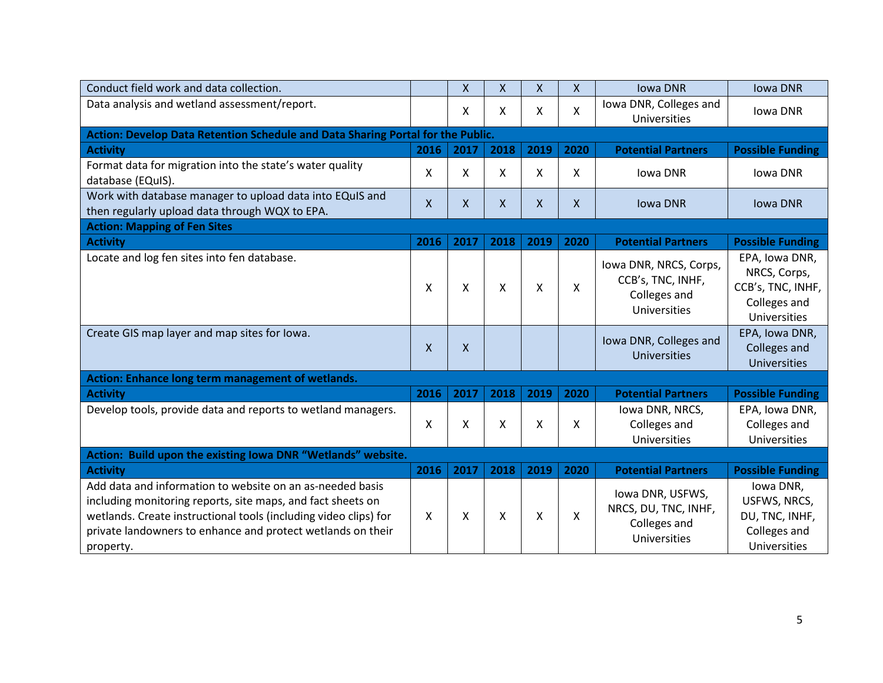| Conduct field work and data collection.                                                                                                                                                                                                                                  |              | X    | X    | $\mathsf{X}$              | X            | <b>Iowa DNR</b>                                                             | <b>Iowa DNR</b>                                                                            |
|--------------------------------------------------------------------------------------------------------------------------------------------------------------------------------------------------------------------------------------------------------------------------|--------------|------|------|---------------------------|--------------|-----------------------------------------------------------------------------|--------------------------------------------------------------------------------------------|
| Data analysis and wetland assessment/report.                                                                                                                                                                                                                             |              | X    | X    | X                         | X            | Iowa DNR, Colleges and                                                      | Iowa DNR                                                                                   |
|                                                                                                                                                                                                                                                                          |              |      |      |                           |              | Universities                                                                |                                                                                            |
| Action: Develop Data Retention Schedule and Data Sharing Portal for the Public.                                                                                                                                                                                          |              |      |      |                           |              |                                                                             |                                                                                            |
| <b>Activity</b>                                                                                                                                                                                                                                                          | 2016         | 2017 | 2018 | 2019                      | 2020         | <b>Potential Partners</b>                                                   | <b>Possible Funding</b>                                                                    |
| Format data for migration into the state's water quality<br>database (EQuIS).                                                                                                                                                                                            | X            | Χ    | Χ    | X                         | X            | Iowa DNR                                                                    | Iowa DNR                                                                                   |
| Work with database manager to upload data into EQuIS and<br>then regularly upload data through WQX to EPA.                                                                                                                                                               | $\mathsf{X}$ | X    | X    | X                         | X            | <b>Iowa DNR</b>                                                             | <b>Iowa DNR</b>                                                                            |
| <b>Action: Mapping of Fen Sites</b>                                                                                                                                                                                                                                      |              |      |      |                           |              |                                                                             |                                                                                            |
| <b>Activity</b>                                                                                                                                                                                                                                                          | 2016         | 2017 | 2018 | 2019                      | 2020         | <b>Potential Partners</b>                                                   | <b>Possible Funding</b>                                                                    |
|                                                                                                                                                                                                                                                                          |              |      |      |                           |              |                                                                             |                                                                                            |
| Locate and log fen sites into fen database.                                                                                                                                                                                                                              | X            | X    | Χ    | X                         | $\mathsf{X}$ | Iowa DNR, NRCS, Corps,<br>CCB's, TNC, INHF,<br>Colleges and<br>Universities | EPA, Iowa DNR,<br>NRCS, Corps,<br>CCB's, TNC, INHF,<br>Colleges and<br><b>Universities</b> |
| Create GIS map layer and map sites for lowa.                                                                                                                                                                                                                             | X            | X    |      |                           |              | Iowa DNR, Colleges and<br><b>Universities</b>                               | EPA, Iowa DNR,<br>Colleges and<br><b>Universities</b>                                      |
| Action: Enhance long term management of wetlands.                                                                                                                                                                                                                        |              |      |      |                           |              |                                                                             |                                                                                            |
| <b>Activity</b>                                                                                                                                                                                                                                                          | 2016         | 2017 | 2018 | 2019                      | 2020         | <b>Potential Partners</b>                                                   | <b>Possible Funding</b>                                                                    |
| Develop tools, provide data and reports to wetland managers.                                                                                                                                                                                                             | X            | X    | Χ    | X                         | X            | Iowa DNR, NRCS,<br>Colleges and<br>Universities                             | EPA, Iowa DNR,<br>Colleges and<br>Universities                                             |
| Action: Build upon the existing Iowa DNR "Wetlands" website.                                                                                                                                                                                                             |              |      |      |                           |              |                                                                             |                                                                                            |
| <b>Activity</b>                                                                                                                                                                                                                                                          | 2016         | 2017 | 2018 | 2019                      | 2020         | <b>Potential Partners</b>                                                   | <b>Possible Funding</b>                                                                    |
| Add data and information to website on an as-needed basis<br>including monitoring reports, site maps, and fact sheets on<br>wetlands. Create instructional tools (including video clips) for<br>private landowners to enhance and protect wetlands on their<br>property. | X            | X    | X    | $\boldsymbol{\mathsf{X}}$ | X            | Iowa DNR, USFWS,<br>NRCS, DU, TNC, INHF,<br>Colleges and<br>Universities    | Iowa DNR,<br>USFWS, NRCS,<br>DU, TNC, INHF,<br>Colleges and<br>Universities                |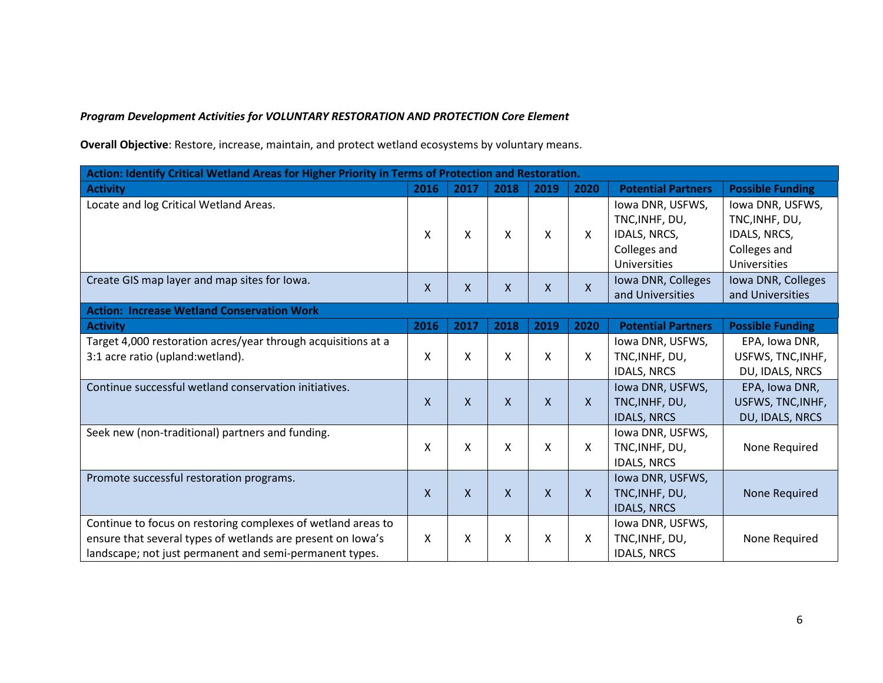*Program Development Activities for VOLUNTARY RESTORATION AND PROTECTION Core Element*

**Overall Objective**: Restore, increase, maintain, and protect wetland ecosystems by voluntary means.

| Action: Identify Critical Wetland Areas for Higher Priority in Terms of Protection and Restoration. |      |      |                           |                           |      |                           |                         |  |  |  |  |
|-----------------------------------------------------------------------------------------------------|------|------|---------------------------|---------------------------|------|---------------------------|-------------------------|--|--|--|--|
| <b>Activity</b>                                                                                     | 2016 | 2017 | 2018                      | 2019                      | 2020 | <b>Potential Partners</b> | <b>Possible Funding</b> |  |  |  |  |
| Locate and log Critical Wetland Areas.                                                              |      |      |                           |                           |      | Iowa DNR, USFWS,          | lowa DNR, USFWS,        |  |  |  |  |
|                                                                                                     |      |      |                           |                           |      | TNC, INHF, DU,            | TNC, INHF, DU,          |  |  |  |  |
|                                                                                                     | x    | X    | x                         | X                         | X    | IDALS, NRCS,              | IDALS, NRCS,            |  |  |  |  |
|                                                                                                     |      |      |                           |                           |      | Colleges and              | Colleges and            |  |  |  |  |
|                                                                                                     |      |      |                           |                           |      | Universities              | <b>Universities</b>     |  |  |  |  |
| Create GIS map layer and map sites for lowa.                                                        | X    | X    | X                         | $\boldsymbol{\mathsf{X}}$ | X    | Iowa DNR, Colleges        | Iowa DNR, Colleges      |  |  |  |  |
|                                                                                                     |      |      |                           |                           |      | and Universities          | and Universities        |  |  |  |  |
| <b>Action: Increase Wetland Conservation Work</b>                                                   |      |      |                           |                           |      |                           |                         |  |  |  |  |
| <b>Activity</b>                                                                                     | 2016 | 2017 | 2018                      | 2019                      | 2020 | <b>Potential Partners</b> | <b>Possible Funding</b> |  |  |  |  |
| Target 4,000 restoration acres/year through acquisitions at a                                       |      |      |                           |                           |      | Iowa DNR, USFWS,          | EPA, Iowa DNR,          |  |  |  |  |
| 3:1 acre ratio (upland: wetland).                                                                   | x    | Χ    | Χ                         | Χ                         | x    | TNC, INHF, DU,            | USFWS, TNC, INHF,       |  |  |  |  |
|                                                                                                     |      |      |                           |                           |      | <b>IDALS, NRCS</b>        | DU, IDALS, NRCS         |  |  |  |  |
| Continue successful wetland conservation initiatives.                                               |      |      |                           |                           |      | Iowa DNR, USFWS,          | EPA, Iowa DNR,          |  |  |  |  |
|                                                                                                     | X    | X    | $\boldsymbol{\mathsf{X}}$ | $\boldsymbol{\mathsf{X}}$ | X    | TNC, INHF, DU,            | USFWS, TNC, INHF,       |  |  |  |  |
|                                                                                                     |      |      |                           |                           |      | <b>IDALS, NRCS</b>        | DU, IDALS, NRCS         |  |  |  |  |
| Seek new (non-traditional) partners and funding.                                                    |      |      |                           |                           |      | Iowa DNR, USFWS,          |                         |  |  |  |  |
|                                                                                                     | Χ    | Χ    | Χ                         | X                         | X.   | TNC, INHF, DU,            | None Required           |  |  |  |  |
|                                                                                                     |      |      |                           |                           |      | <b>IDALS, NRCS</b>        |                         |  |  |  |  |
| Promote successful restoration programs.                                                            |      |      |                           |                           |      | Iowa DNR, USFWS,          |                         |  |  |  |  |
|                                                                                                     | X    | X    | $\mathsf{x}$              | $\mathsf{X}$              | X    | TNC, INHF, DU,            | None Required           |  |  |  |  |
|                                                                                                     |      |      |                           |                           |      | <b>IDALS, NRCS</b>        |                         |  |  |  |  |
| Continue to focus on restoring complexes of wetland areas to                                        |      |      |                           |                           |      | Iowa DNR, USFWS,          |                         |  |  |  |  |
| ensure that several types of wetlands are present on lowa's                                         | Χ    | Χ    | Χ                         | X                         | x    | TNC, INHF, DU,            | None Required           |  |  |  |  |
| landscape; not just permanent and semi-permanent types.                                             |      |      |                           |                           |      | <b>IDALS, NRCS</b>        |                         |  |  |  |  |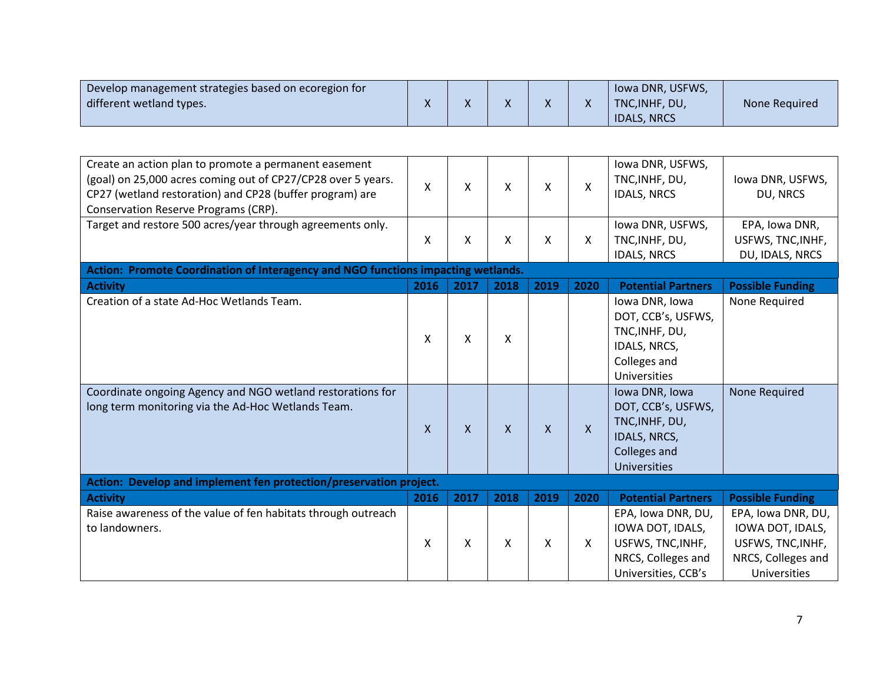| Develop management strategies based on ecoregion for |              |              |  | lowa DNR, USFWS,   |               |
|------------------------------------------------------|--------------|--------------|--|--------------------|---------------|
| different wetland types.                             | $\mathbf{v}$ | $\mathbf{v}$ |  | TNC.INHF. DU.      | None Required |
|                                                      |              |              |  | <b>IDALS, NRCS</b> |               |

| Create an action plan to promote a permanent easement<br>(goal) on 25,000 acres coming out of CP27/CP28 over 5 years.<br>CP27 (wetland restoration) and CP28 (buffer program) are<br>Conservation Reserve Programs (CRP). | X    | Χ            | Χ    | X    | X            | Iowa DNR, USFWS,<br>TNC, INHF, DU,<br><b>IDALS, NRCS</b> | Iowa DNR, USFWS,<br>DU, NRCS |  |  |  |  |
|---------------------------------------------------------------------------------------------------------------------------------------------------------------------------------------------------------------------------|------|--------------|------|------|--------------|----------------------------------------------------------|------------------------------|--|--|--|--|
| Target and restore 500 acres/year through agreements only.                                                                                                                                                                |      |              |      |      |              | Iowa DNR, USFWS,                                         | EPA, Iowa DNR,               |  |  |  |  |
|                                                                                                                                                                                                                           | X    | Χ            | Χ    | X    | X            | TNC, INHF, DU,                                           | USFWS, TNC, INHF,            |  |  |  |  |
|                                                                                                                                                                                                                           |      |              |      |      |              | <b>IDALS, NRCS</b>                                       | DU, IDALS, NRCS              |  |  |  |  |
| Action: Promote Coordination of Interagency and NGO functions impacting wetlands.                                                                                                                                         |      |              |      |      |              |                                                          |                              |  |  |  |  |
| <b>Activity</b>                                                                                                                                                                                                           | 2016 | 2017         | 2018 | 2019 | 2020         | <b>Potential Partners</b>                                | <b>Possible Funding</b>      |  |  |  |  |
| Creation of a state Ad-Hoc Wetlands Team.                                                                                                                                                                                 |      |              |      |      |              | Iowa DNR, Iowa                                           | None Required                |  |  |  |  |
|                                                                                                                                                                                                                           |      |              |      |      |              | DOT, CCB's, USFWS,                                       |                              |  |  |  |  |
|                                                                                                                                                                                                                           | X    | X            | Χ    |      |              | TNC, INHF, DU,                                           |                              |  |  |  |  |
|                                                                                                                                                                                                                           |      |              |      |      |              | IDALS, NRCS,                                             |                              |  |  |  |  |
|                                                                                                                                                                                                                           |      |              |      |      |              | Colleges and                                             |                              |  |  |  |  |
|                                                                                                                                                                                                                           |      |              |      |      |              | Universities                                             |                              |  |  |  |  |
| Coordinate ongoing Agency and NGO wetland restorations for                                                                                                                                                                |      |              |      |      |              | Iowa DNR, Iowa                                           | None Required                |  |  |  |  |
| long term monitoring via the Ad-Hoc Wetlands Team.                                                                                                                                                                        |      |              |      |      |              | DOT, CCB's, USFWS,                                       |                              |  |  |  |  |
|                                                                                                                                                                                                                           | X    | $\mathsf{X}$ | X    | X    | $\mathsf{X}$ | TNC, INHF, DU,                                           |                              |  |  |  |  |
|                                                                                                                                                                                                                           |      |              |      |      |              | IDALS, NRCS,                                             |                              |  |  |  |  |
|                                                                                                                                                                                                                           |      |              |      |      |              | Colleges and                                             |                              |  |  |  |  |
|                                                                                                                                                                                                                           |      |              |      |      |              | <b>Universities</b>                                      |                              |  |  |  |  |
| Action: Develop and implement fen protection/preservation project.                                                                                                                                                        |      |              |      |      |              |                                                          |                              |  |  |  |  |
| <b>Activity</b>                                                                                                                                                                                                           | 2016 | 2017         | 2018 | 2019 | 2020         | <b>Potential Partners</b>                                | <b>Possible Funding</b>      |  |  |  |  |
| Raise awareness of the value of fen habitats through outreach                                                                                                                                                             |      |              |      |      |              | EPA, Iowa DNR, DU,                                       | EPA, Iowa DNR, DU,           |  |  |  |  |
| to landowners.                                                                                                                                                                                                            |      |              |      |      |              | IOWA DOT, IDALS,                                         | IOWA DOT, IDALS,             |  |  |  |  |
|                                                                                                                                                                                                                           | X    | X            | Χ    | x    | X            | USFWS, TNC, INHF,                                        | USFWS, TNC, INHF,            |  |  |  |  |
|                                                                                                                                                                                                                           |      |              |      |      |              | NRCS, Colleges and                                       | NRCS, Colleges and           |  |  |  |  |
|                                                                                                                                                                                                                           |      |              |      |      |              | Universities, CCB's                                      | Universities                 |  |  |  |  |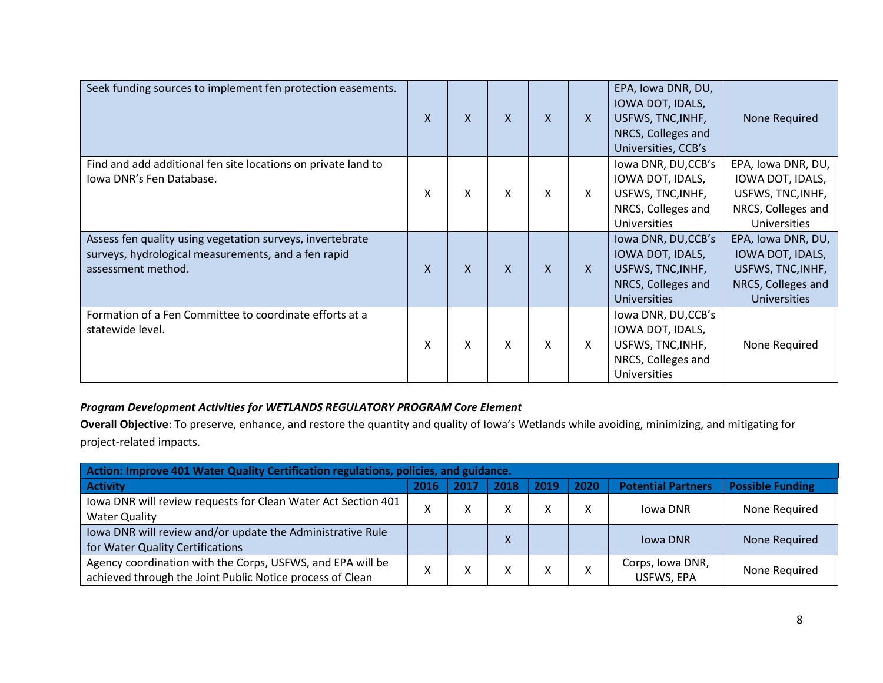| Seek funding sources to implement fen protection easements.                                                                            | X            | X            | X            | $\mathsf{X}$ | $\mathsf{X}$ | EPA, Iowa DNR, DU,<br>IOWA DOT, IDALS,<br>USFWS, TNC, INHF,<br>NRCS, Colleges and<br>Universities, CCB's  | None Required                                                                                            |
|----------------------------------------------------------------------------------------------------------------------------------------|--------------|--------------|--------------|--------------|--------------|-----------------------------------------------------------------------------------------------------------|----------------------------------------------------------------------------------------------------------|
| Find and add additional fen site locations on private land to<br>Iowa DNR's Fen Database.                                              | Χ            | Χ            | X            | Χ            | X            | lowa DNR, DU,CCB's<br>IOWA DOT, IDALS,<br>USFWS, TNC, INHF,<br>NRCS, Colleges and<br><b>Universities</b>  | EPA, Iowa DNR, DU,<br>IOWA DOT, IDALS,<br>USFWS, TNC, INHF,<br>NRCS, Colleges and<br>Universities        |
| Assess fen quality using vegetation surveys, invertebrate<br>surveys, hydrological measurements, and a fen rapid<br>assessment method. | $\mathsf{x}$ | $\mathsf{X}$ | $\mathsf{X}$ | $\mathsf{X}$ | $\mathsf{x}$ | lowa DNR, DU, CCB's<br>IOWA DOT, IDALS,<br>USFWS, TNC, INHF,<br>NRCS, Colleges and<br><b>Universities</b> | EPA, Iowa DNR, DU,<br>IOWA DOT, IDALS,<br>USFWS, TNC, INHF,<br>NRCS, Colleges and<br><b>Universities</b> |
| Formation of a Fen Committee to coordinate efforts at a<br>statewide level.                                                            | Χ            | X            | X            | Χ            | Χ            | lowa DNR, DU, CCB's<br>IOWA DOT, IDALS,<br>USFWS, TNC, INHF,<br>NRCS, Colleges and<br>Universities        | None Required                                                                                            |

## *Program Development Activities for WETLANDS REGULATORY PROGRAM Core Element*

**Overall Objective**: To preserve, enhance, and restore the quantity and quality of Iowa's Wetlands while avoiding, minimizing, and mitigating for project-related impacts.

| Action: Improve 401 Water Quality Certification regulations, policies, and guidance. |              |      |      |      |      |                           |                         |  |  |  |
|--------------------------------------------------------------------------------------|--------------|------|------|------|------|---------------------------|-------------------------|--|--|--|
| <b>Activity</b>                                                                      | 2016         | 2017 | 2018 | 2019 | 2020 | <b>Potential Partners</b> | <b>Possible Funding</b> |  |  |  |
| Iowa DNR will review requests for Clean Water Act Section 401                        | $\mathbf{v}$ | v    |      | v    |      | Jowa DNR                  | None Required           |  |  |  |
| <b>Water Quality</b>                                                                 |              | ∧    |      |      |      |                           |                         |  |  |  |
| Iowa DNR will review and/or update the Administrative Rule                           |              |      |      |      |      | <b>Iowa DNR</b>           | None Required           |  |  |  |
| for Water Quality Certifications                                                     |              |      |      |      |      |                           |                         |  |  |  |
| Agency coordination with the Corps, USFWS, and EPA will be                           |              |      |      | v    |      | Corps, Iowa DNR,          | None Required           |  |  |  |
| achieved through the Joint Public Notice process of Clean                            |              | ́    |      |      |      | USFWS, EPA                |                         |  |  |  |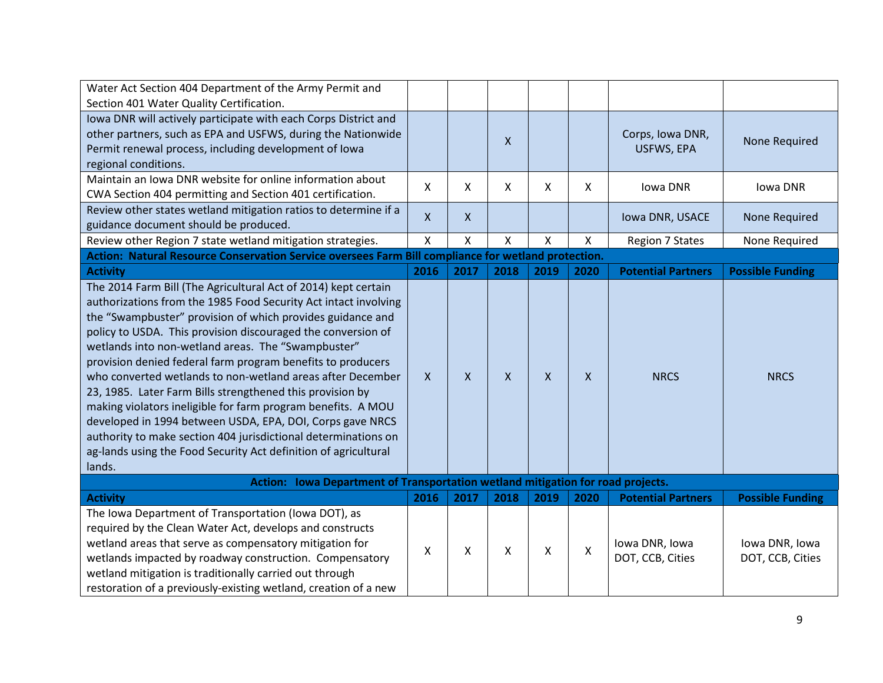| Water Act Section 404 Department of the Army Permit and                                             |                  |              |              |                    |      |                           |                         |  |  |  |
|-----------------------------------------------------------------------------------------------------|------------------|--------------|--------------|--------------------|------|---------------------------|-------------------------|--|--|--|
| Section 401 Water Quality Certification.                                                            |                  |              |              |                    |      |                           |                         |  |  |  |
| Iowa DNR will actively participate with each Corps District and                                     |                  |              |              |                    |      |                           |                         |  |  |  |
| other partners, such as EPA and USFWS, during the Nationwide                                        |                  |              | $\mathsf{X}$ |                    |      | Corps, Iowa DNR,          | None Required           |  |  |  |
| Permit renewal process, including development of lowa                                               |                  |              |              |                    |      | USFWS, EPA                |                         |  |  |  |
| regional conditions.                                                                                |                  |              |              |                    |      |                           |                         |  |  |  |
| Maintain an Iowa DNR website for online information about                                           | x                | x            | $\mathsf{X}$ | X                  | X.   | Iowa DNR                  | Iowa DNR                |  |  |  |
| CWA Section 404 permitting and Section 401 certification.                                           |                  |              |              |                    |      |                           |                         |  |  |  |
| Review other states wetland mitigation ratios to determine if a                                     | X                | X            |              |                    |      | Iowa DNR, USACE           | None Required           |  |  |  |
| guidance document should be produced.                                                               |                  |              |              |                    |      |                           |                         |  |  |  |
| Review other Region 7 state wetland mitigation strategies.                                          | Χ                | X            | X            | X                  | X    | <b>Region 7 States</b>    | None Required           |  |  |  |
| Action: Natural Resource Conservation Service oversees Farm Bill compliance for wetland protection. |                  |              |              |                    |      |                           |                         |  |  |  |
| <b>Activity</b>                                                                                     | 2016             | 2017         | 2018         | 2019               | 2020 | <b>Potential Partners</b> | <b>Possible Funding</b> |  |  |  |
| The 2014 Farm Bill (The Agricultural Act of 2014) kept certain                                      |                  |              |              |                    |      |                           |                         |  |  |  |
| authorizations from the 1985 Food Security Act intact involving                                     |                  |              |              |                    |      |                           |                         |  |  |  |
| the "Swampbuster" provision of which provides guidance and                                          |                  |              |              |                    |      |                           |                         |  |  |  |
| policy to USDA. This provision discouraged the conversion of                                        |                  |              |              |                    |      |                           |                         |  |  |  |
| wetlands into non-wetland areas. The "Swampbuster"                                                  |                  |              |              |                    |      |                           |                         |  |  |  |
| provision denied federal farm program benefits to producers                                         |                  |              |              |                    |      |                           |                         |  |  |  |
| who converted wetlands to non-wetland areas after December                                          | $\boldsymbol{X}$ | $\mathsf{x}$ | $\mathsf{X}$ | $\pmb{\mathsf{X}}$ | X    | <b>NRCS</b>               | <b>NRCS</b>             |  |  |  |
| 23, 1985. Later Farm Bills strengthened this provision by                                           |                  |              |              |                    |      |                           |                         |  |  |  |
| making violators ineligible for farm program benefits. A MOU                                        |                  |              |              |                    |      |                           |                         |  |  |  |
| developed in 1994 between USDA, EPA, DOI, Corps gave NRCS                                           |                  |              |              |                    |      |                           |                         |  |  |  |
| authority to make section 404 jurisdictional determinations on                                      |                  |              |              |                    |      |                           |                         |  |  |  |
| ag-lands using the Food Security Act definition of agricultural                                     |                  |              |              |                    |      |                           |                         |  |  |  |
| lands.                                                                                              |                  |              |              |                    |      |                           |                         |  |  |  |
| Action: Iowa Department of Transportation wetland mitigation for road projects.                     |                  |              |              |                    |      |                           |                         |  |  |  |
| <b>Activity</b>                                                                                     | 2016             | 2017         | 2018         | 2019               | 2020 | <b>Potential Partners</b> | <b>Possible Funding</b> |  |  |  |
| The Iowa Department of Transportation (Iowa DOT), as                                                |                  |              |              |                    |      |                           |                         |  |  |  |
| required by the Clean Water Act, develops and constructs                                            |                  |              |              |                    |      |                           |                         |  |  |  |
| wetland areas that serve as compensatory mitigation for                                             | x                | X            | X            | X                  | X    | Iowa DNR, Iowa            | Iowa DNR, Iowa          |  |  |  |
| wetlands impacted by roadway construction. Compensatory                                             |                  |              |              |                    |      | DOT, CCB, Cities          | DOT, CCB, Cities        |  |  |  |
| wetland mitigation is traditionally carried out through                                             |                  |              |              |                    |      |                           |                         |  |  |  |
| restoration of a previously-existing wetland, creation of a new                                     |                  |              |              |                    |      |                           |                         |  |  |  |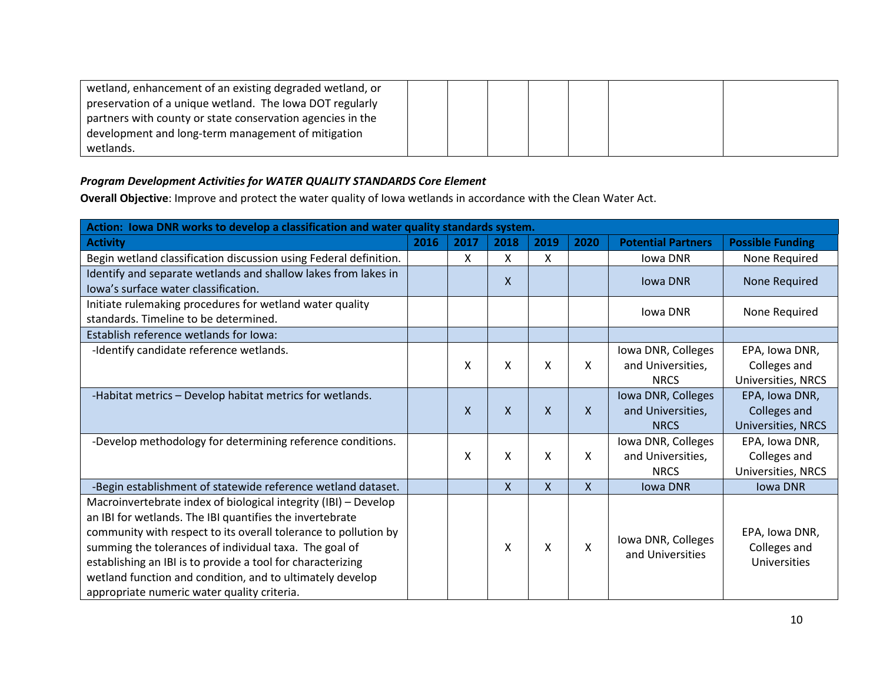| wetland, enhancement of an existing degraded wetland, or   |  |  |  |  |
|------------------------------------------------------------|--|--|--|--|
| preservation of a unique wetland. The Iowa DOT regularly   |  |  |  |  |
| partners with county or state conservation agencies in the |  |  |  |  |
| development and long-term management of mitigation         |  |  |  |  |
| wetlands.                                                  |  |  |  |  |

## *Program Development Activities for WATER QUALITY STANDARDS Core Element*

**Overall Objective**: Improve and protect the water quality of Iowa wetlands in accordance with the Clean Water Act.

| Action: Iowa DNR works to develop a classification and water quality standards system.                                                                                                                                                                                                                                                                                                                                              |      |      |              |              |              |                                                        |                                                       |  |  |  |
|-------------------------------------------------------------------------------------------------------------------------------------------------------------------------------------------------------------------------------------------------------------------------------------------------------------------------------------------------------------------------------------------------------------------------------------|------|------|--------------|--------------|--------------|--------------------------------------------------------|-------------------------------------------------------|--|--|--|
| <b>Activity</b>                                                                                                                                                                                                                                                                                                                                                                                                                     | 2016 | 2017 | 2018         | 2019         | 2020         | <b>Potential Partners</b>                              | <b>Possible Funding</b>                               |  |  |  |
| Begin wetland classification discussion using Federal definition.                                                                                                                                                                                                                                                                                                                                                                   |      | Χ    | X            | X            |              | Iowa DNR                                               | None Required                                         |  |  |  |
| Identify and separate wetlands and shallow lakes from lakes in<br>lowa's surface water classification.                                                                                                                                                                                                                                                                                                                              |      |      | X            |              |              | <b>Iowa DNR</b>                                        | None Required                                         |  |  |  |
| Initiate rulemaking procedures for wetland water quality<br>standards. Timeline to be determined.                                                                                                                                                                                                                                                                                                                                   |      |      |              |              |              | Iowa DNR                                               | None Required                                         |  |  |  |
| Establish reference wetlands for lowa:                                                                                                                                                                                                                                                                                                                                                                                              |      |      |              |              |              |                                                        |                                                       |  |  |  |
| -Identify candidate reference wetlands.                                                                                                                                                                                                                                                                                                                                                                                             |      | Χ    | Χ            | X            | X            | Iowa DNR, Colleges<br>and Universities,<br><b>NRCS</b> | EPA, Iowa DNR,<br>Colleges and<br>Universities, NRCS  |  |  |  |
| -Habitat metrics - Develop habitat metrics for wetlands.                                                                                                                                                                                                                                                                                                                                                                            |      | X    | $\mathsf{X}$ | $\mathsf{x}$ | $\mathsf{X}$ | Iowa DNR, Colleges<br>and Universities,<br><b>NRCS</b> | EPA, Iowa DNR,<br>Colleges and<br>Universities, NRCS  |  |  |  |
| -Develop methodology for determining reference conditions.                                                                                                                                                                                                                                                                                                                                                                          |      | X    | Χ            | Χ            | X            | Iowa DNR, Colleges<br>and Universities,<br><b>NRCS</b> | EPA, Iowa DNR,<br>Colleges and<br>Universities, NRCS  |  |  |  |
| -Begin establishment of statewide reference wetland dataset.                                                                                                                                                                                                                                                                                                                                                                        |      |      | X            | $\mathsf{X}$ | $\mathsf{X}$ | <b>Iowa DNR</b>                                        | <b>Iowa DNR</b>                                       |  |  |  |
| Macroinvertebrate index of biological integrity (IBI) - Develop<br>an IBI for wetlands. The IBI quantifies the invertebrate<br>community with respect to its overall tolerance to pollution by<br>summing the tolerances of individual taxa. The goal of<br>establishing an IBI is to provide a tool for characterizing<br>wetland function and condition, and to ultimately develop<br>appropriate numeric water quality criteria. |      |      | Χ            | Χ            | X            | Iowa DNR, Colleges<br>and Universities                 | EPA, Iowa DNR,<br>Colleges and<br><b>Universities</b> |  |  |  |